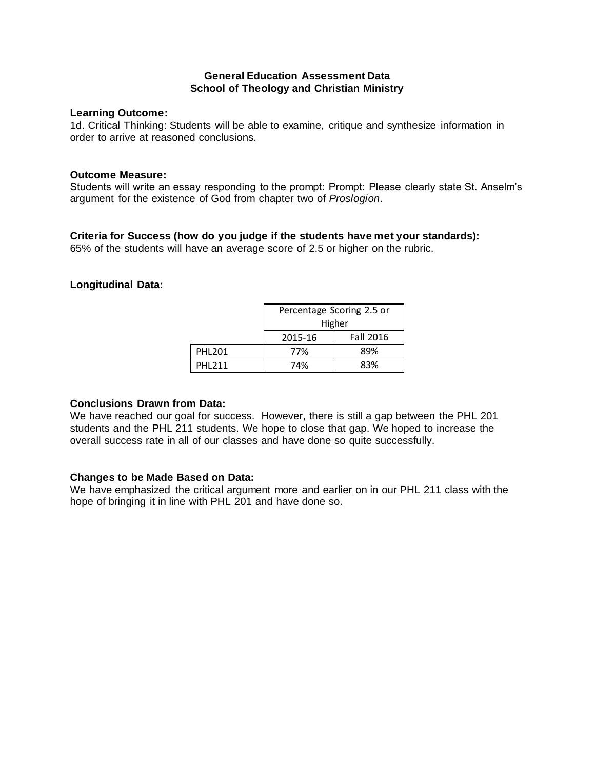#### **General Education Assessment Data School of Theology and Christian Ministry**

#### **Learning Outcome:**

1d. Critical Thinking: Students will be able to examine, critique and synthesize information in order to arrive at reasoned conclusions.

#### **Outcome Measure:**

Students will write an essay responding to the prompt: Prompt: Please clearly state St. Anselm's argument for the existence of God from chapter two of *Proslogion*.

## **Criteria for Success (how do you judge if the students have met your standards):**

65% of the students will have an average score of 2.5 or higher on the rubric.

## **Longitudinal Data:**

|               | Percentage Scoring 2.5 or |                  |  |
|---------------|---------------------------|------------------|--|
|               | Higher                    |                  |  |
|               | 2015-16                   | <b>Fall 2016</b> |  |
| <b>PHL201</b> | 77%                       | 89%              |  |
| PHI 211       | 74%                       | 83%              |  |

#### **Conclusions Drawn from Data:**

We have reached our goal for success. However, there is still a gap between the PHL 201 students and the PHL 211 students. We hope to close that gap. We hoped to increase the overall success rate in all of our classes and have done so quite successfully.

## **Changes to be Made Based on Data:**

We have emphasized the critical argument more and earlier on in our PHL 211 class with the hope of bringing it in line with PHL 201 and have done so.